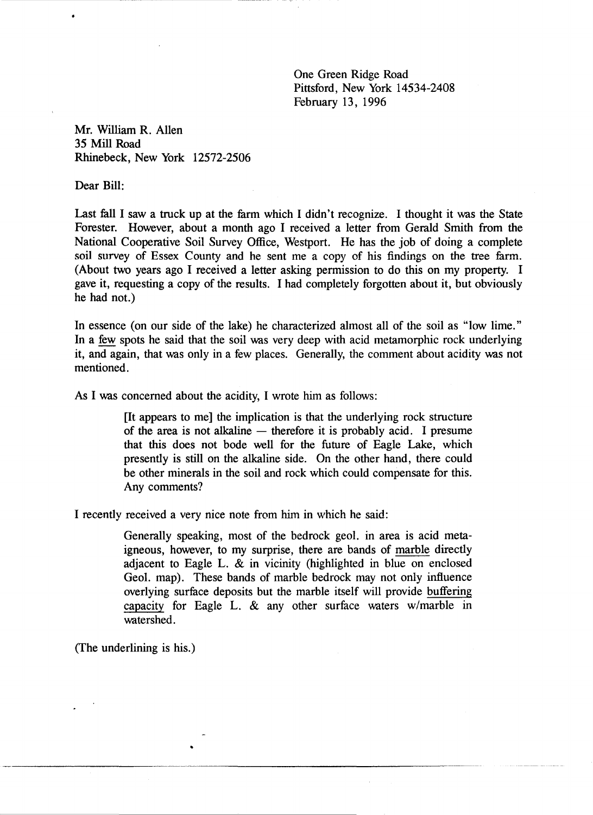One Green Ridge Road Pittsford, New York 14534-2408 February 13, 1996

Mr. William R. Allen 35 Mill Road Rhinebeck, New York 12572-2506

Dear Bill:

Last fall I saw a truck up at the farm which I didn't recognize. I thought it was the State Forester. However, about a month ago I received a letter from Gerald Smith from the National Cooperative Soil Survey Office, Westport. He has the job of doing a complete soil survey of Essex County and he sent me a copy of his findings on the tree farm. (About two years ago I received a letter asking permission to do this on my property. I gave it, requesting a copy of the results. I had completely forgotten about it, but obviously he had not.)

In essence (on our side of the lake) he characterized almost all of the soil as "low lime." In a few spots he said that the soil was very deep with acid metamorphic rock underlying it, and again, that was only in a few places. Generally, the comment about acidity was not mentioned.

As I was concerned about the acidity, I wrote him as follows:

[It appears to me] the implication is that the underlying rock structure of the area is not alkaline  $-$  therefore it is probably acid. I presume that this does not bode well for the future of Eagle Lake, which presently is still on the alkaline side. On the other hand, there could be other minerals in the soil and rock which could compensate for this. Any comments?

I recently received a very nice note from him in which he said:

Generally speaking, most of the bedrock geol. in area is acid metaigneous, however, to my surprise, there are bands of marble directly adjacent to Eagle L. & in vicinity (highlighted in blue on enclosed Geol. map). These bands of marble bedrock may not only influence overlying surface deposits but the marble itself will provide buffering capacity for Eagle L. & any other surface waters w/marble in watershed.

(The underlining is his.)

•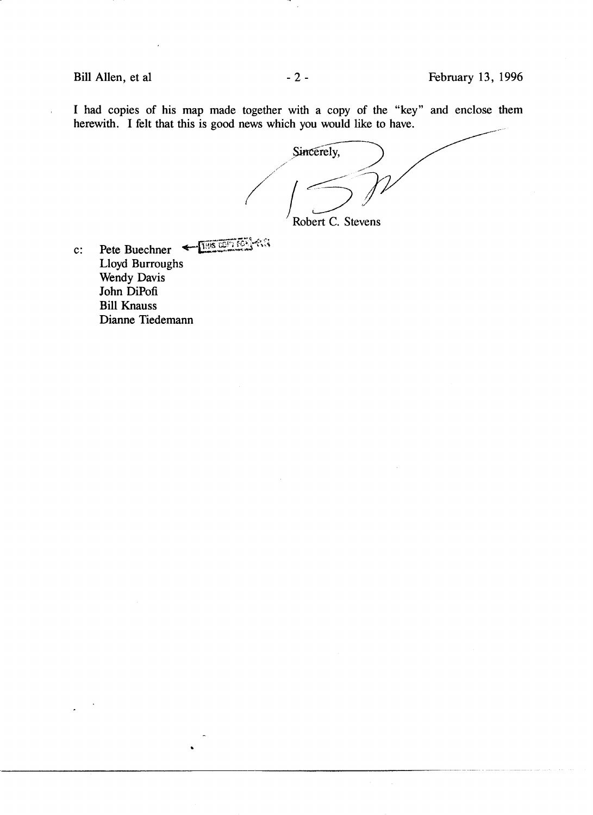т,  $\overline{\phantom{a}}$ 

I had copies of his map made together with a copy of the "key" and enclose them herewith. I felt that this is good news which you would like to have.

Sincerely,  $/$   $/$   $/$ Robert C. Stevens

c:  $\sqrt{1^{115} \, 10^{11} \, 10^{11} \, 10^{11}}$ Pete Buechner Lloyd Burroughs Wendy Davis John DiPofi Bill Knauss Dianne Tiedemann

•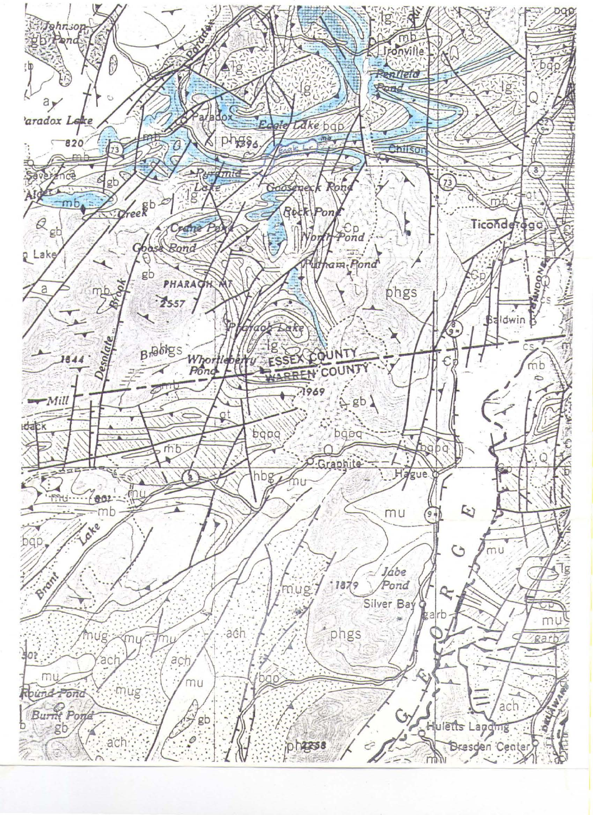